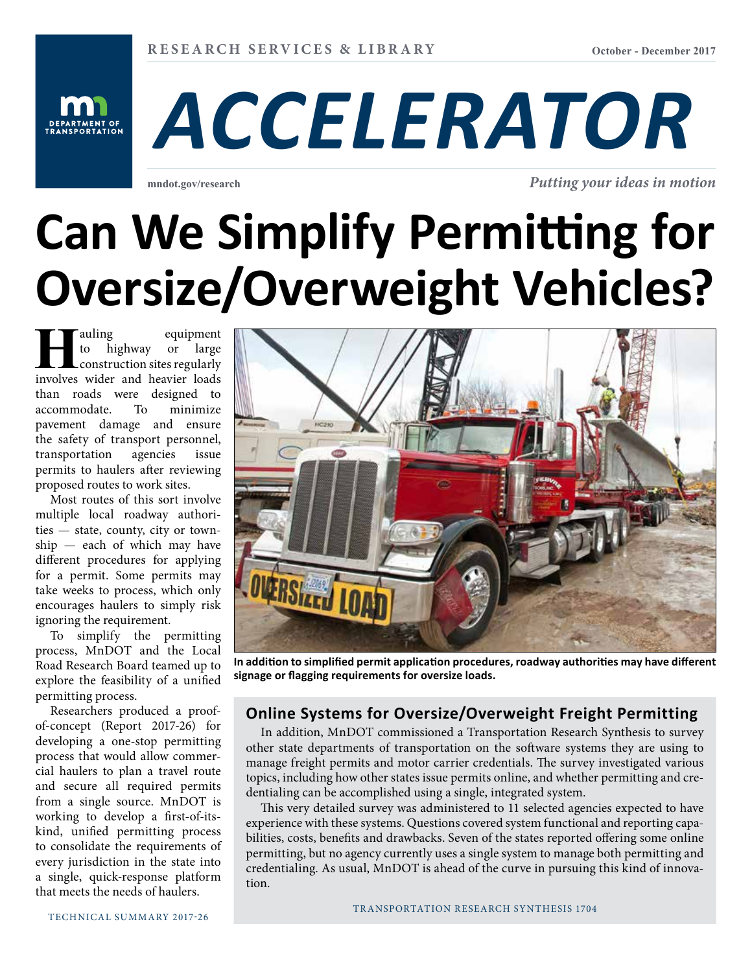**DEPARTMENT OF**<br>TRANSPORTATION



**mndot.gov/research**

*Putting your ideas in motion*

## **Can We Simplify Permitting for Oversize/Overweight Vehicles?**

**Hauling** equipment<br>to highway or large<br>construction sites regularly<br>involves wider and heavier loads to highway or large construction sites regularly involves wider and heavier loads than roads were designed to accommodate. To minimize pavement damage and ensure the safety of transport personnel, transportation agencies issue permits to haulers after reviewing proposed routes to work sites.

Most routes of this sort involve multiple local roadway authorities — state, county, city or township — each of which may have different procedures for applying for a permit. Some permits may take weeks to process, which only encourages haulers to simply risk ignoring the requirement.

To simplify the permitting process, MnDOT and the Local Road Research Board teamed up to explore the feasibility of a unified permitting process.

Researchers produced a proofof-concept (Report 2017-26) for developing a one-stop permitting process that would allow commercial haulers to plan a travel route and secure all required permits from a single source. MnDOT is working to develop a first-of-itskind, unified permitting process to consolidate the requirements of every jurisdiction in the state into a single, quick-response platform that meets the needs of haulers.



**In addition to simplified permit application procedures, roadway authorities may have different signage or flagging requirements for oversize loads.**

#### **Online Systems for Oversize/Overweight Freight Permitting**

In addition, MnDOT commissioned a Transportation Research Synthesis to survey other state departments of transportation on the software systems they are using to manage freight permits and motor carrier credentials. The survey investigated various topics, including how other states issue permits online, and whether permitting and credentialing can be accomplished using a single, integrated system.

This very detailed survey was administered to 11 selected agencies expected to have experience with these systems. Questions covered system functional and reporting capabilities, costs, benefits and drawbacks. Seven of the states reported offering some online permitting, but no agency currently uses a single system to manage both permitting and credentialing. As usual, MnDOT is ahead of the curve in pursuing this kind of innovation.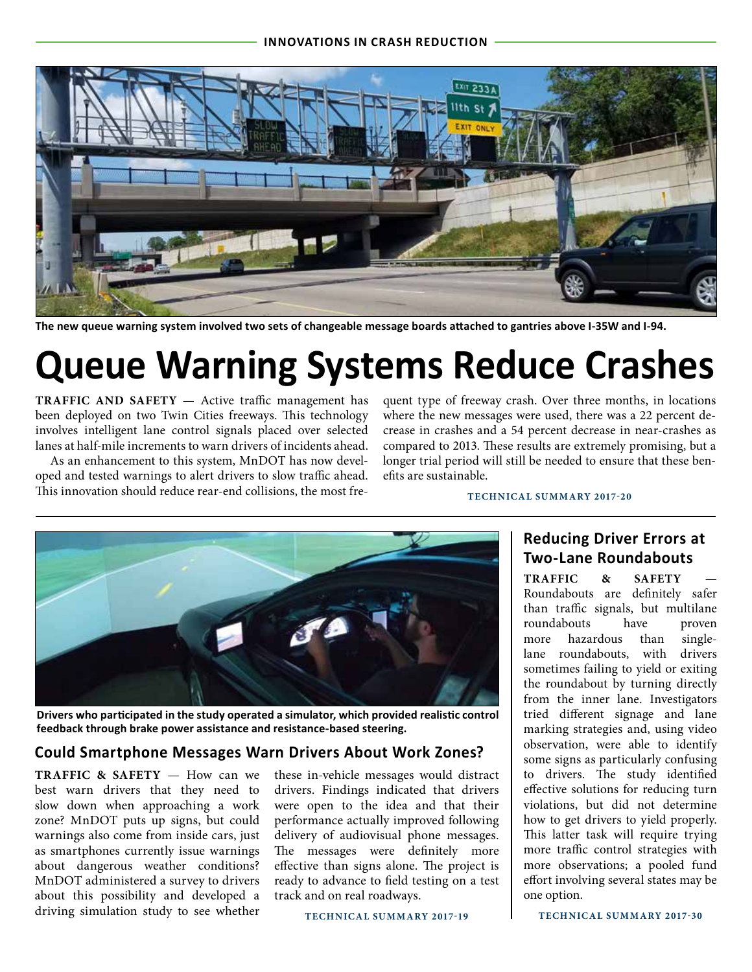

**The new queue warning system involved two sets of changeable message boards attached to gantries above I-35W and I-94.**

## **Queue Warning Systems Reduce Crashes**

**TRAFFIC AND SAFETY** — Active traffic management has been deployed on two Twin Cities freeways. This technology involves intelligent lane control signals placed over selected lanes at half-mile increments to warn drivers of incidents ahead.

As an enhancement to this system, MnDOT has now developed and tested warnings to alert drivers to slow traffic ahead. This innovation should reduce rear-end collisions, the most frequent type of freeway crash. Over three months, in locations where the new messages were used, there was a 22 percent decrease in crashes and a 54 percent decrease in near-crashes as compared to 2013. These results are extremely promising, but a longer trial period will still be needed to ensure that these benefits are sustainable.



**Drivers who participated in the study operated a simulator, which provided realistic control feedback through brake power assistance and resistance-based steering.**

#### **Could Smartphone Messages Warn Drivers About Work Zones?**

**TRAFFIC & SAFETY** — How can we best warn drivers that they need to slow down when approaching a work zone? MnDOT puts up signs, but could warnings also come from inside cars, just as smartphones currently issue warnings about dangerous weather conditions? MnDOT administered a survey to drivers about this possibility and developed a driving simulation study to see whether

these in-vehicle messages would distract drivers. Findings indicated that drivers were open to the idea and that their performance actually improved following delivery of audiovisual phone messages. The messages were definitely more effective than signs alone. The project is ready to advance to field testing on a test track and on real roadways.

**TECHNICAL SUMMARY 2017-19**

#### **TECHNICAL SUMMARY 2017-20**

#### **Reducing Driver Errors at Two-Lane Roundabouts**

**TRAFFIC & SAFETY** — Roundabouts are definitely safer than traffic signals, but multilane roundabouts have more hazardous than singlelane roundabouts, with drivers sometimes failing to yield or exiting the roundabout by turning directly from the inner lane. Investigators tried different signage and lane marking strategies and, using video observation, were able to identify some signs as particularly confusing to drivers. The study identified effective solutions for reducing turn violations, but did not determine how to get drivers to yield properly. This latter task will require trying more traffic control strategies with more observations; a pooled fund effort involving several states may be one option.

**TECHNICAL SUMMARY 2017-30**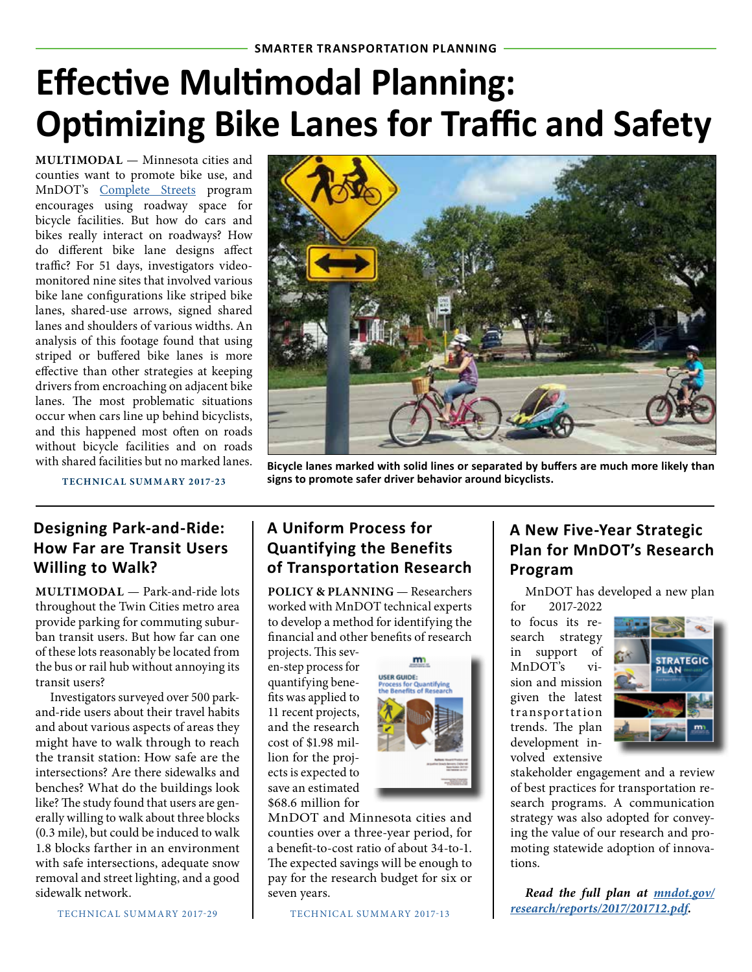### **Effective Multimodal Planning: Optimizing Bike Lanes for Traffic and Safety**

**MULTIMODAL** — Minnesota cities and counties want to promote bike use, and MnDOT's Complete Streets program encourages using roadway space for bicycle facilities. But how do cars and bikes really interact on roadways? How do different bike lane designs affect traffic? For 51 days, investigators videomonitored nine sites that involved various bike lane configurations like striped bike lanes, shared-use arrows, signed shared lanes and shoulders of various widths. An analysis of this footage found that using striped or buffered bike lanes is more effective than other strategies at keeping drivers from encroaching on adjacent bike lanes. The most problematic situations occur when cars line up behind bicyclists, and this happened most often on roads without bicycle facilities and on roads with shared facilities but no marked lanes.



**TECHNICAL SUMMARY 2017-23**

#### **Designing Park-and-Ride: How Far are Transit Users Willing to Walk?**

**MULTIMODAL** — Park-and-ride lots throughout the Twin Cities metro area provide parking for commuting suburban transit users. But how far can one of these lots reasonably be located from the bus or rail hub without annoying its transit users?

Investigators surveyed over 500 parkand-ride users about their travel habits and about various aspects of areas they might have to walk through to reach the transit station: How safe are the intersections? Are there sidewalks and benches? What do the buildings look like? The study found that users are generally willing to walk about three blocks (0.3 mile), but could be induced to walk 1.8 blocks farther in an environment with safe intersections, adequate snow removal and street lighting, and a good sidewalk network.

#### **A Uniform Process for Quantifying the Benefits of Transportation Research**

**signs to promote safer driver behavior around bicyclists.**

**POLICY & PLANNING** — Researchers worked with MnDOT technical experts to develop a method for identifying the financial and other benefits of research

projects. This seven-step process for quantifying benefits was applied to 11 recent projects, and the research cost of \$1.98 million for the projects is expected to save an estimated \$68.6 million for



MnDOT and Minnesota cities and counties over a three-year period, for a benefit-to-cost ratio of about 34-to-1. The expected savings will be enough to pay for the research budget for six or seven years.

TECHNICAL SUMMARY 2017-13

#### **A New Five-Year Strategic Plan for MnDOT's Research Program**

MnDOT has developed a new plan

for 2017-2022 to focus its research strategy in support of MnDOT's vision and mission given the latest transportation trends. The plan development involved extensive



stakeholder engagement and a review of best practices for transportation research programs. A communication strategy was also adopted for conveying the value of our research and promoting statewide adoption of innovations.

*Read the full plan at mndot.gov/ research/reports/2017/201712.pdf.*